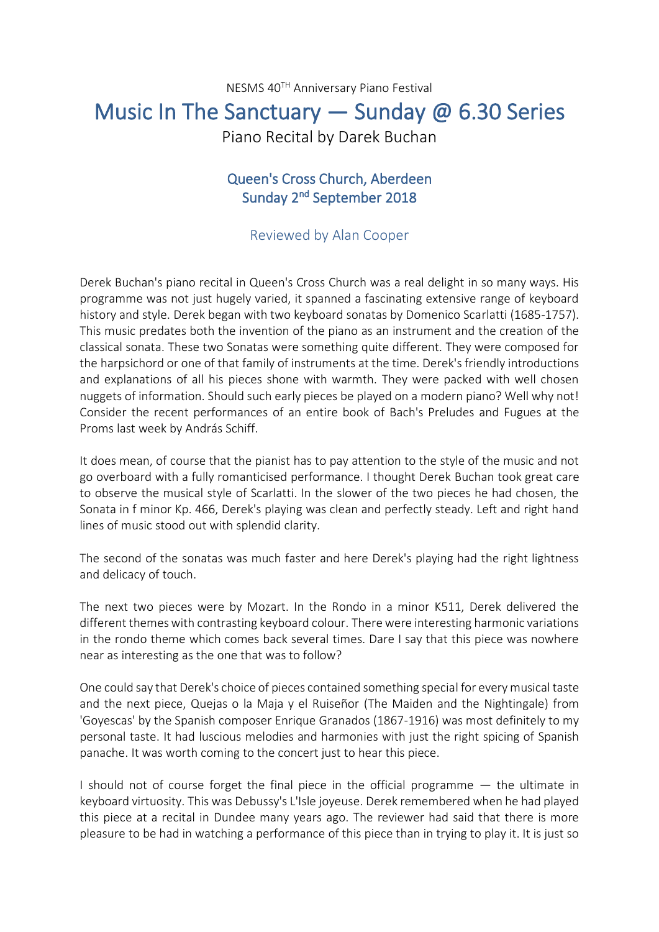NESMS 40TH Anniversary Piano Festival

## Music In The Sanctuary — Sunday @ 6.30 Series

Piano Recital by Darek Buchan

## Queen's Cross Church, Aberdeen Sunday 2<sup>nd</sup> September 2018

## Reviewed by Alan Cooper

Derek Buchan's piano recital in Queen's Cross Church was a real delight in so many ways. His programme was not just hugely varied, it spanned a fascinating extensive range of keyboard history and style. Derek began with two keyboard sonatas by Domenico Scarlatti (1685-1757). This music predates both the invention of the piano as an instrument and the creation of the classical sonata. These two Sonatas were something quite different. They were composed for the harpsichord or one of that family of instruments at the time. Derek's friendly introductions and explanations of all his pieces shone with warmth. They were packed with well chosen nuggets of information. Should such early pieces be played on a modern piano? Well why not! Consider the recent performances of an entire book of Bach's Preludes and Fugues at the Proms last week by András Schiff.

It does mean, of course that the pianist has to pay attention to the style of the music and not go overboard with a fully romanticised performance. I thought Derek Buchan took great care to observe the musical style of Scarlatti. In the slower of the two pieces he had chosen, the Sonata in f minor Kp. 466, Derek's playing was clean and perfectly steady. Left and right hand lines of music stood out with splendid clarity.

The second of the sonatas was much faster and here Derek's playing had the right lightness and delicacy of touch.

The next two pieces were by Mozart. In the Rondo in a minor K511, Derek delivered the different themes with contrasting keyboard colour. There were interesting harmonic variations in the rondo theme which comes back several times. Dare I say that this piece was nowhere near as interesting as the one that was to follow?

One could say that Derek's choice of pieces contained something special for every musical taste and the next piece, Quejas o la Maja y el Ruiseñor (The Maiden and the Nightingale) from 'Goyescas' by the Spanish composer Enrique Granados (1867-1916) was most definitely to my personal taste. It had luscious melodies and harmonies with just the right spicing of Spanish panache. It was worth coming to the concert just to hear this piece.

I should not of course forget the final piece in the official programme — the ultimate in keyboard virtuosity. This was Debussy's L'Isle joyeuse. Derek remembered when he had played this piece at a recital in Dundee many years ago. The reviewer had said that there is more pleasure to be had in watching a performance of this piece than in trying to play it. It is just so